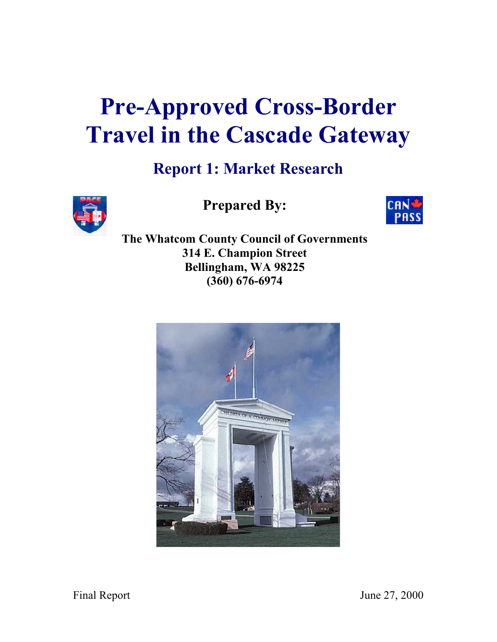# **Pre-Approved Cross-Border Travel in the Cascade Gateway**

# **Report 1: Market Research**



**Prepared By:** 



**The Whatcom County Council of Governments 314 E. Champion Street Bellingham, WA 98225 (360) 676-6974** 

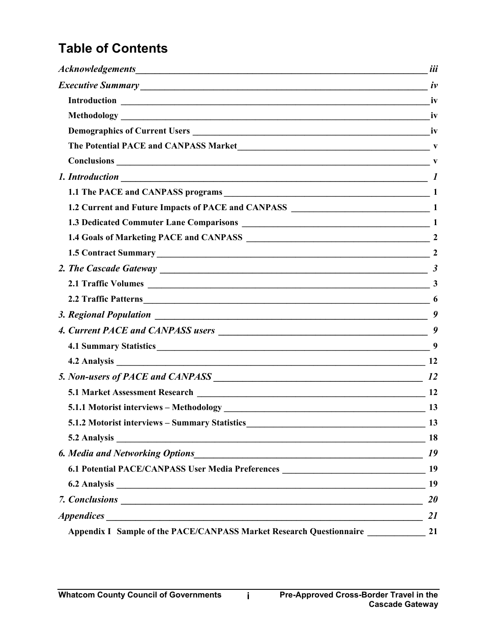# **Table of Contents**

| The Potential PACE and CANPASS Market V                                                                                                                                                                                        |           |
|--------------------------------------------------------------------------------------------------------------------------------------------------------------------------------------------------------------------------------|-----------|
| $Conclusions$ $V$                                                                                                                                                                                                              |           |
|                                                                                                                                                                                                                                |           |
|                                                                                                                                                                                                                                |           |
|                                                                                                                                                                                                                                |           |
|                                                                                                                                                                                                                                |           |
|                                                                                                                                                                                                                                |           |
| 1.5 Contract Summary 2                                                                                                                                                                                                         |           |
|                                                                                                                                                                                                                                |           |
|                                                                                                                                                                                                                                |           |
|                                                                                                                                                                                                                                |           |
|                                                                                                                                                                                                                                | 9         |
|                                                                                                                                                                                                                                |           |
| 4.1 Summary Statistics 3. The Statistics 3. The Statistics 3. The Statistics 3. The Statistics 3. The Statistics 3. The Statistics 3. The Statistics 3. The Statistics 3. The Statistics 3. The Statistics 3. The Statistics 3 |           |
|                                                                                                                                                                                                                                |           |
|                                                                                                                                                                                                                                |           |
|                                                                                                                                                                                                                                |           |
|                                                                                                                                                                                                                                |           |
| 5.1.2 Motorist interviews - Summary Statistics<br>$\sim$ 13                                                                                                                                                                    |           |
|                                                                                                                                                                                                                                | <b>18</b> |
|                                                                                                                                                                                                                                | 19        |
|                                                                                                                                                                                                                                |           |
|                                                                                                                                                                                                                                | 19        |
|                                                                                                                                                                                                                                | <b>20</b> |
|                                                                                                                                                                                                                                | <b>21</b> |
| Appendix I Sample of the PACE/CANPASS Market Research Questionnaire 21                                                                                                                                                         |           |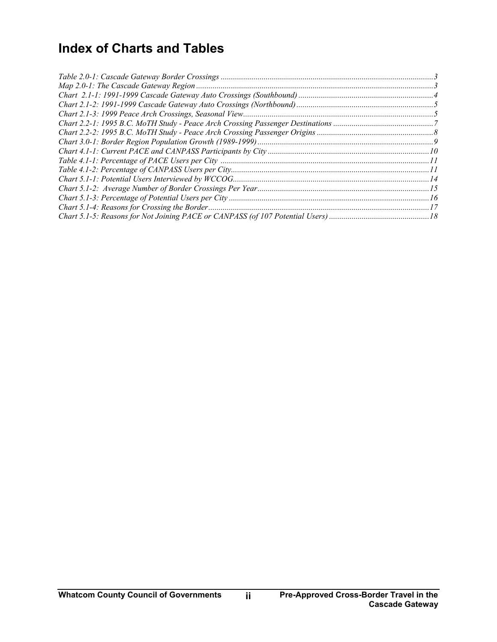# **Index of Charts and Tables**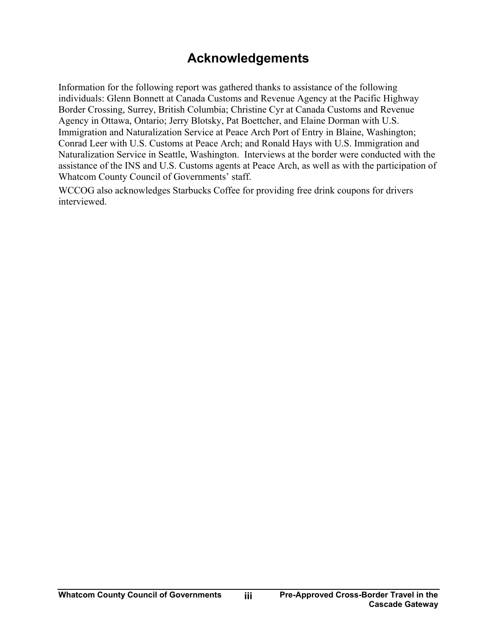# **Acknowledgements**

<span id="page-3-0"></span>Information for the following report was gathered thanks to assistance of the following individuals: Glenn Bonnett at Canada Customs and Revenue Agency at the Pacific Highway Border Crossing, Surrey, British Columbia; Christine Cyr at Canada Customs and Revenue Agency in Ottawa, Ontario; Jerry Blotsky, Pat Boettcher, and Elaine Dorman with U.S. Immigration and Naturalization Service at Peace Arch Port of Entry in Blaine, Washington; Conrad Leer with U.S. Customs at Peace Arch; and Ronald Hays with U.S. Immigration and Naturalization Service in Seattle, Washington. Interviews at the border were conducted with the assistance of the INS and U.S. Customs agents at Peace Arch, as well as with the participation of Whatcom County Council of Governments' staff.

WCCOG also acknowledges Starbucks Coffee for providing free drink coupons for drivers interviewed.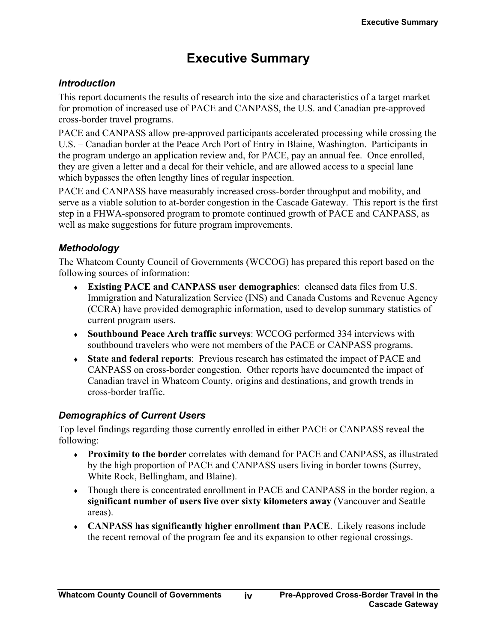# **Executive Summary**

#### <span id="page-4-0"></span>*Introduction*

This report documents the results of research into the size and characteristics of a target market for promotion of increased use of PACE and CANPASS, the U.S. and Canadian pre-approved cross-border travel programs.

PACE and CANPASS allow pre-approved participants accelerated processing while crossing the U.S. – Canadian border at the Peace Arch Port of Entry in Blaine, Washington. Participants in the program undergo an application review and, for PACE, pay an annual fee. Once enrolled, they are given a letter and a decal for their vehicle, and are allowed access to a special lane which bypasses the often lengthy lines of regular inspection.

PACE and CANPASS have measurably increased cross-border throughput and mobility, and serve as a viable solution to at-border congestion in the Cascade Gateway. This report is the first step in a FHWA-sponsored program to promote continued growth of PACE and CANPASS, as well as make suggestions for future program improvements.

#### *Methodology*

The Whatcom County Council of Governments (WCCOG) has prepared this report based on the following sources of information:

- ♦ **Existing PACE and CANPASS user demographics**: cleansed data files from U.S. Immigration and Naturalization Service (INS) and Canada Customs and Revenue Agency (CCRA) have provided demographic information, used to develop summary statistics of current program users.
- ♦ **Southbound Peace Arch traffic surveys**: WCCOG performed 334 interviews with southbound travelers who were not members of the PACE or CANPASS programs.
- ♦ **State and federal reports**: Previous research has estimated the impact of PACE and CANPASS on cross-border congestion. Other reports have documented the impact of Canadian travel in Whatcom County, origins and destinations, and growth trends in cross-border traffic.

### *Demographics of Current Users*

Top level findings regarding those currently enrolled in either PACE or CANPASS reveal the following:

- ♦ **Proximity to the border** correlates with demand for PACE and CANPASS, as illustrated by the high proportion of PACE and CANPASS users living in border towns (Surrey, White Rock, Bellingham, and Blaine).
- ♦ Though there is concentrated enrollment in PACE and CANPASS in the border region, a **significant number of users live over sixty kilometers away** (Vancouver and Seattle areas).
- ♦ **CANPASS has significantly higher enrollment than PACE**. Likely reasons include the recent removal of the program fee and its expansion to other regional crossings.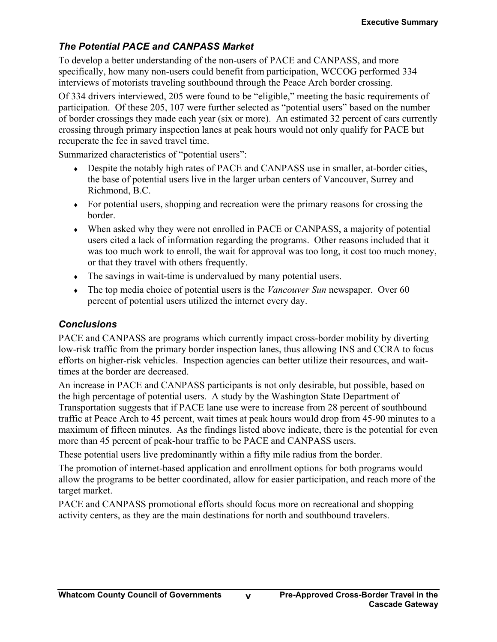### <span id="page-5-0"></span>*The Potential PACE and CANPASS Market*

To develop a better understanding of the non-users of PACE and CANPASS, and more specifically, how many non-users could benefit from participation, WCCOG performed 334 interviews of motorists traveling southbound through the Peace Arch border crossing.

Of 334 drivers interviewed, 205 were found to be "eligible," meeting the basic requirements of participation. Of these 205, 107 were further selected as "potential users" based on the number of border crossings they made each year (six or more). An estimated 32 percent of cars currently crossing through primary inspection lanes at peak hours would not only qualify for PACE but recuperate the fee in saved travel time.

Summarized characteristics of "potential users":

- Despite the notably high rates of PACE and CANPASS use in smaller, at-border cities, the base of potential users live in the larger urban centers of Vancouver, Surrey and Richmond, B.C.
- ♦ For potential users, shopping and recreation were the primary reasons for crossing the border.
- ♦ When asked why they were not enrolled in PACE or CANPASS, a majority of potential users cited a lack of information regarding the programs. Other reasons included that it was too much work to enroll, the wait for approval was too long, it cost too much money, or that they travel with others frequently.
- The savings in wait-time is undervalued by many potential users.
- ♦ The top media choice of potential users is the *Vancouver Sun* newspaper. Over 60 percent of potential users utilized the internet every day.

### *Conclusions*

PACE and CANPASS are programs which currently impact cross-border mobility by diverting low-risk traffic from the primary border inspection lanes, thus allowing INS and CCRA to focus efforts on higher-risk vehicles. Inspection agencies can better utilize their resources, and waittimes at the border are decreased.

An increase in PACE and CANPASS participants is not only desirable, but possible, based on the high percentage of potential users. A study by the Washington State Department of Transportation suggests that if PACE lane use were to increase from 28 percent of southbound traffic at Peace Arch to 45 percent, wait times at peak hours would drop from 45-90 minutes to a maximum of fifteen minutes. As the findings listed above indicate, there is the potential for even more than 45 percent of peak-hour traffic to be PACE and CANPASS users.

These potential users live predominantly within a fifty mile radius from the border.

The promotion of internet-based application and enrollment options for both programs would allow the programs to be better coordinated, allow for easier participation, and reach more of the target market.

PACE and CANPASS promotional efforts should focus more on recreational and shopping activity centers, as they are the main destinations for north and southbound travelers.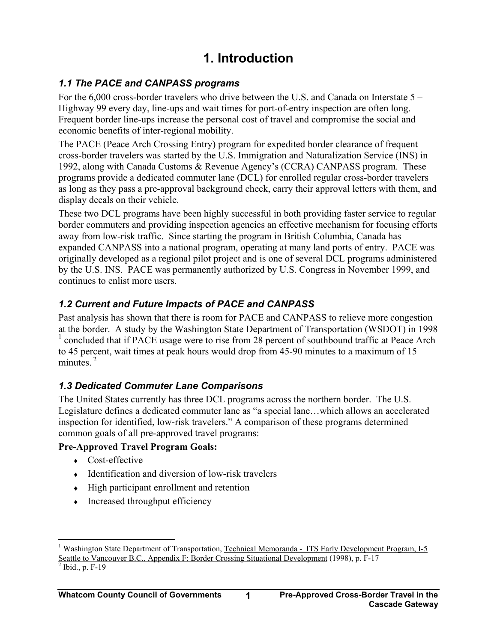# **1. Introduction**

### <span id="page-6-0"></span>*1.1 The PACE and CANPASS programs*

For the 6,000 cross-border travelers who drive between the U.S. and Canada on Interstate 5 – Highway 99 every day, line-ups and wait times for port-of-entry inspection are often long. Frequent border line-ups increase the personal cost of travel and compromise the social and economic benefits of inter-regional mobility.

The PACE (Peace Arch Crossing Entry) program for expedited border clearance of frequent cross-border travelers was started by the U.S. Immigration and Naturalization Service (INS) in 1992, along with Canada Customs & Revenue Agency's (CCRA) CANPASS program. These programs provide a dedicated commuter lane (DCL) for enrolled regular cross-border travelers as long as they pass a pre-approval background check, carry their approval letters with them, and display decals on their vehicle.

These two DCL programs have been highly successful in both providing faster service to regular border commuters and providing inspection agencies an effective mechanism for focusing efforts away from low-risk traffic. Since starting the program in British Columbia, Canada has expanded CANPASS into a national program, operating at many land ports of entry. PACE was originally developed as a regional pilot project and is one of several DCL programs administered by the U.S. INS. PACE was permanently authorized by U.S. Congress in November 1999, and continues to enlist more users.

### *1.2 Current and Future Impacts of PACE and CANPASS*

Past analysis has shown that there is room for PACE and CANPASS to relieve more congestion at the border. A study by the Washington State Department of Transportation (WSDOT) in 1998 [1](#page-6-1) concluded that if PACE usage were to rise from 28 percent of southbound traffic at Peace Arch to 45 percent, wait times at peak hours would drop from 45-90 minutes to a maximum of 15 minutes.<sup>[2](#page-6-2)</sup>

### *1.3 Dedicated Commuter Lane Comparisons*

The United States currently has three DCL programs across the northern border. The U.S. Legislature defines a dedicated commuter lane as "a special lane…which allows an accelerated inspection for identified, low-risk travelers." A comparison of these programs determined common goals of all pre-approved travel programs:

### **Pre-Approved Travel Program Goals:**

- ♦ Cost-effective
- ♦ Identification and diversion of low-risk travelers
- ♦ High participant enrollment and retention
- Increased throughput efficiency

<span id="page-6-1"></span> $\overline{a}$ <sup>1</sup> Washington State Department of Transportation, Technical Memoranda - ITS Early Development Program, I-5 Seattle to Vancouver B.C., Appendix F: Border Crossing Situational Development (1998), p. F-17

<span id="page-6-2"></span> $\frac{1}{2}$  Ibid., p. F-19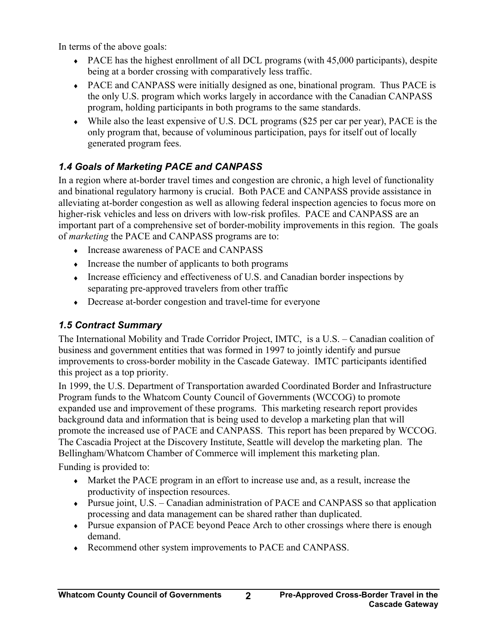<span id="page-7-0"></span>In terms of the above goals:

- ♦ PACE has the highest enrollment of all DCL programs (with 45,000 participants), despite being at a border crossing with comparatively less traffic.
- ♦ PACE and CANPASS were initially designed as one, binational program. Thus PACE is the only U.S. program which works largely in accordance with the Canadian CANPASS program, holding participants in both programs to the same standards.
- ♦ While also the least expensive of U.S. DCL programs (\$25 per car per year), PACE is the only program that, because of voluminous participation, pays for itself out of locally generated program fees.

### *1.4 Goals of Marketing PACE and CANPASS*

In a region where at-border travel times and congestion are chronic, a high level of functionality and binational regulatory harmony is crucial. Both PACE and CANPASS provide assistance in alleviating at-border congestion as well as allowing federal inspection agencies to focus more on higher-risk vehicles and less on drivers with low-risk profiles. PACE and CANPASS are an important part of a comprehensive set of border-mobility improvements in this region. The goals of *marketing* the PACE and CANPASS programs are to:

- ♦ Increase awareness of PACE and CANPASS
- ♦ Increase the number of applicants to both programs
- ♦ Increase efficiency and effectiveness of U.S. and Canadian border inspections by separating pre-approved travelers from other traffic
- ♦ Decrease at-border congestion and travel-time for everyone

### *1.5 Contract Summary*

The International Mobility and Trade Corridor Project, IMTC, is a U.S. – Canadian coalition of business and government entities that was formed in 1997 to jointly identify and pursue improvements to cross-border mobility in the Cascade Gateway. IMTC participants identified this project as a top priority.

In 1999, the U.S. Department of Transportation awarded Coordinated Border and Infrastructure Program funds to the Whatcom County Council of Governments (WCCOG) to promote expanded use and improvement of these programs. This marketing research report provides background data and information that is being used to develop a marketing plan that will promote the increased use of PACE and CANPASS. This report has been prepared by WCCOG. The Cascadia Project at the Discovery Institute, Seattle will develop the marketing plan. The Bellingham/Whatcom Chamber of Commerce will implement this marketing plan. Funding is provided to:

- ♦ Market the PACE program in an effort to increase use and, as a result, increase the productivity of inspection resources.
- $\bullet$  Pursue joint, U.S. Canadian administration of PACE and CANPASS so that application processing and data management can be shared rather than duplicated.
- ♦ Pursue expansion of PACE beyond Peace Arch to other crossings where there is enough demand.
- ♦ Recommend other system improvements to PACE and CANPASS.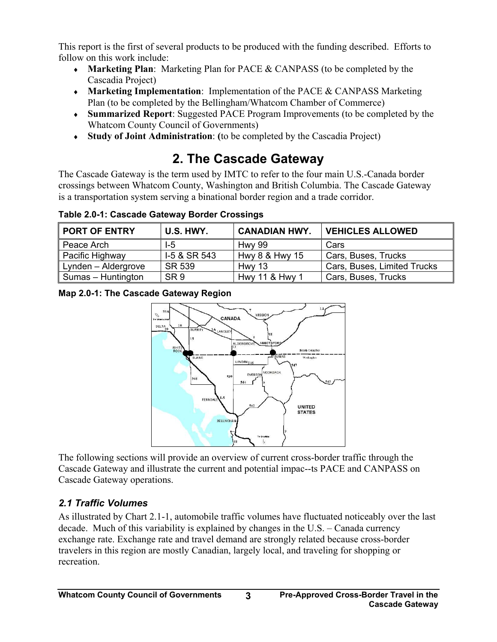<span id="page-8-0"></span>This report is the first of several products to be produced with the funding described. Efforts to follow on this work include:

- ♦ **Marketing Plan**: Marketing Plan for PACE & CANPASS (to be completed by the Cascadia Project)
- ♦ **Marketing Implementation**: Implementation of the PACE & CANPASS Marketing Plan (to be completed by the Bellingham/Whatcom Chamber of Commerce)
- ♦ **Summarized Report**: Suggested PACE Program Improvements (to be completed by the Whatcom County Council of Governments)
- ♦ **Study of Joint Administration**: **(**to be completed by the Cascadia Project)

# **2. The Cascade Gateway**

The Cascade Gateway is the term used by IMTC to refer to the four main U.S.-Canada border crossings between Whatcom County, Washington and British Columbia. The Cascade Gateway is a transportation system serving a binational border region and a trade corridor.

**Table 2.0-1: Cascade Gateway Border Crossings** 

| <b>PORT OF ENTRY</b> | U.S. HWY.       | <b>CANADIAN HWY.</b> | <b>VEHICLES ALLOWED</b>     |
|----------------------|-----------------|----------------------|-----------------------------|
| Peace Arch           | $1-5$           | <b>Hwy 99</b>        | Cars                        |
| Pacific Highway      | I-5 & SR 543    | Hwy 8 & Hwy 15       | Cars, Buses, Trucks         |
| Lynden - Aldergrove  | SR 539          | Hwy 13               | Cars, Buses, Limited Trucks |
| Sumas - Huntington   | SR <sub>9</sub> | Hwy 11 & Hwy 1       | Cars, Buses, Trucks         |

**Map 2.0-1: The Cascade Gateway Region** 



The following sections will provide an overview of current cross-border traffic through the Cascade Gateway and illustrate the current and potential impac--ts PACE and CANPASS on Cascade Gateway operations.

### *2.1 Traffic Volumes*

As illustrated by Chart 2.1-1, automobile traffic volumes have fluctuated noticeably over the last decade. Much of this variability is explained by changes in the U.S. – Canada currency exchange rate. Exchange rate and travel demand are strongly related because cross-border travelers in this region are mostly Canadian, largely local, and traveling for shopping or recreation.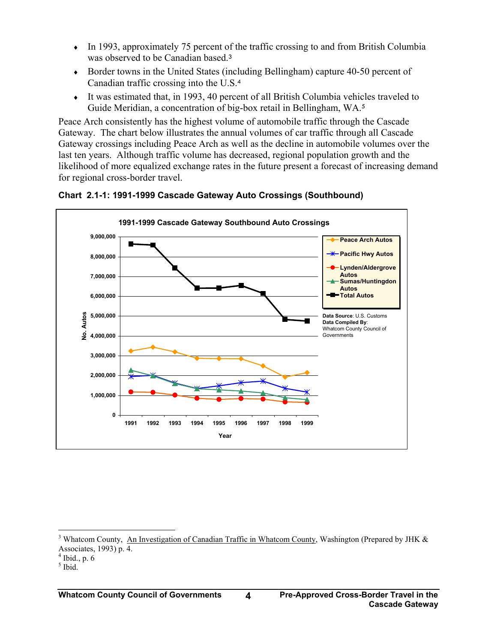- <span id="page-9-0"></span>• In 1993, approximately 75 percent of the traffic crossing to and from British Columbia was observed to be Canadian based.<sup>[3](#page-9-1)</sup>
- ♦ Border towns in the United States (including Bellingham) capture 40-50 percent of Canadian traffic crossing into the U.S.[4](#page-9-2)
- ♦ It was estimated that, in 1993, 40 percent of all British Columbia vehicles traveled to Guide Meridian, a concentration of big-box retail in Bellingham, WA. [5](#page-9-3)

Peace Arch consistently has the highest volume of automobile traffic through the Cascade Gateway. The chart below illustrates the annual volumes of car traffic through all Cascade Gateway crossings including Peace Arch as well as the decline in automobile volumes over the last ten years. Although traffic volume has decreased, regional population growth and the likelihood of more equalized exchange rates in the future present a forecast of increasing demand for regional cross-border travel.



**Chart 2.1-1: 1991-1999 Cascade Gateway Auto Crossings (Southbound)**

 $\overline{a}$ 

<span id="page-9-1"></span><sup>&</sup>lt;sup>3</sup> Whatcom County, An Investigation of Canadian Traffic in Whatcom County, Washington (Prepared by JHK  $\&$ Associates, 1993) p. 4.

<span id="page-9-2"></span> $4$  Ibid., p. 6

<span id="page-9-3"></span> $<sup>5</sup>$  Ibid.</sup>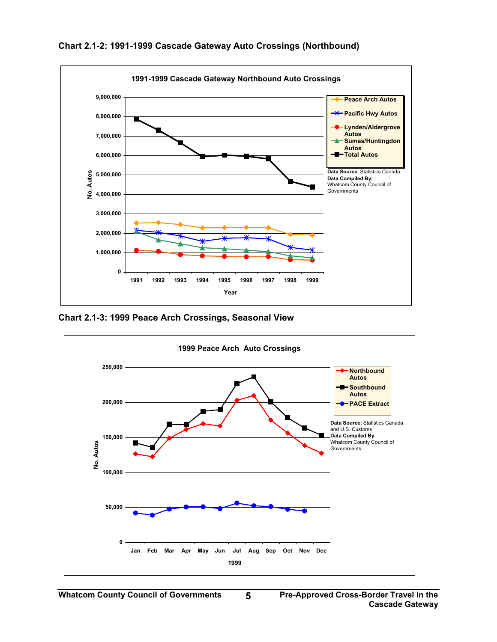

<span id="page-10-0"></span>**Chart 2.1-2: 1991-1999 Cascade Gateway Auto Crossings (Northbound)** 

**Chart 2.1-3: 1999 Peace Arch Crossings, Seasonal View**

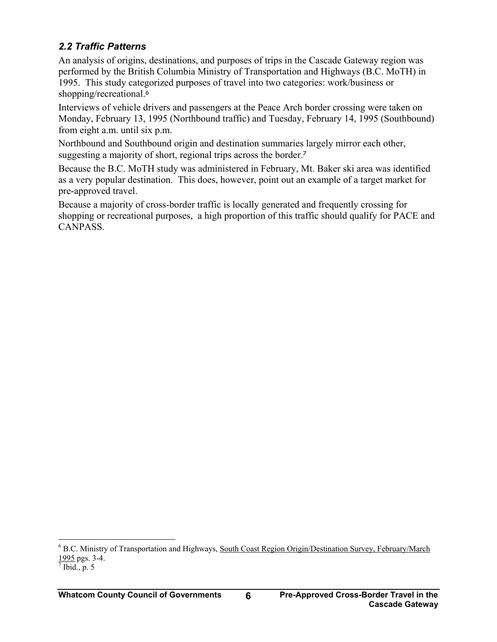### <span id="page-11-0"></span>*2.2 Traffic Patterns*

An analysis of origins, destinations, and purposes of trips in the Cascade Gateway region was performed by the British Columbia Ministry of Transportation and Highways (B.C. MoTH) in 1995. This study categorized purposes of travel into two categories: work/business or shopping/recreational.<sup>[6](#page-11-1)</sup>

Interviews of vehicle drivers and passengers at the Peace Arch border crossing were taken on Monday, February 13, 1995 (Northbound traffic) and Tuesday, February 14, 1995 (Southbound) from eight a.m. until six p.m.

Northbound and Southbound origin and destination summaries largely mirror each other, suggesting a majority of short, regional trips across the border.[7](#page-11-2)

Because the B.C. MoTH study was administered in February, Mt. Baker ski area was identified as a very popular destination. This does, however, point out an example of a target market for pre-approved travel.

Because a majority of cross-border traffic is locally generated and frequently crossing for shopping or recreational purposes, a high proportion of this traffic should qualify for PACE and CANPASS.

<span id="page-11-1"></span> $\overline{a}$ <sup>6</sup> B.C. Ministry of Transportation and Highways, South Coast Region Origin/Destination Survey, February/March  $1995$  pgs. 3-4.

<span id="page-11-2"></span> $<sup>7</sup>$  Ibid., p. 5</sup>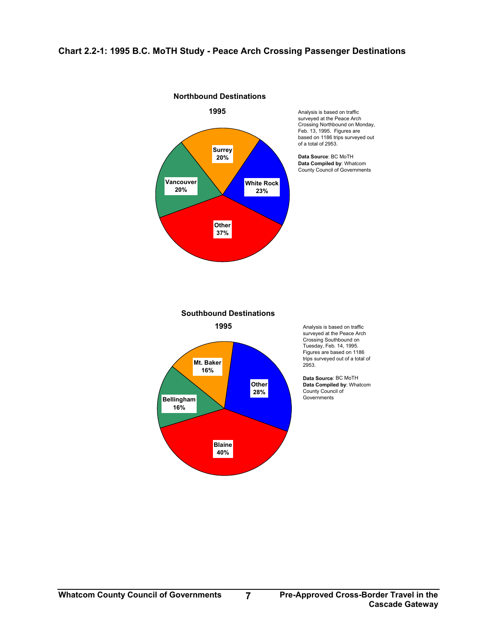#### <span id="page-12-0"></span>**Chart 2.2-1: 1995 B.C. MoTH Study - Peace Arch Crossing Passenger Destinations**

**Northbound Destinations**



**Southbound Destinations**



Analysis is based on traffic surveyed at the Peace Arch Crossing Southbound on Tuesday, Feb. 14, 1995. Figures are based on 1186 trips surveyed out of a total of 2953.

**Data Source**: BC MoTH **Data Compiled by**: Whatcom County Council of Governments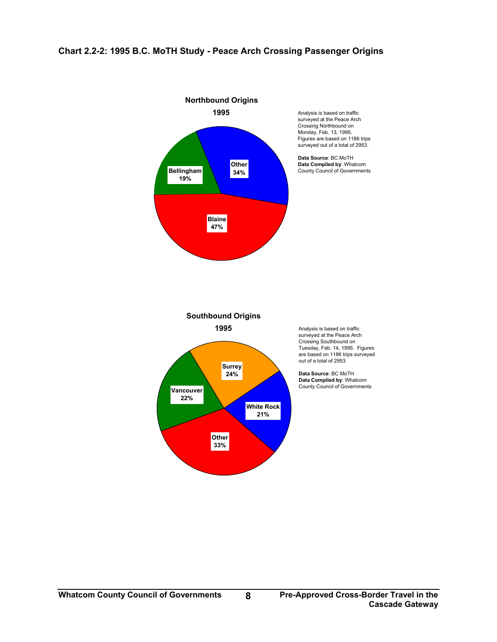<span id="page-13-0"></span>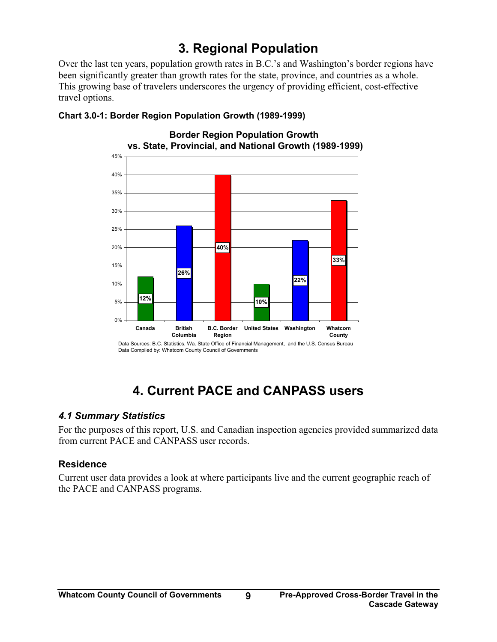# **3. Regional Population**

<span id="page-14-0"></span>Over the last ten years, population growth rates in B.C.'s and Washington's border regions have been significantly greater than growth rates for the state, province, and countries as a whole. This growing base of travelers underscores the urgency of providing efficient, cost-effective travel options.



#### **Chart 3.0-1: Border Region Population Growth (1989-1999)**

# **4. Current PACE and CANPASS users**

#### *4.1 Summary Statistics*

For the purposes of this report, U.S. and Canadian inspection agencies provided summarized data from current PACE and CANPASS user records.

### **Residence**

Current user data provides a look at where participants live and the current geographic reach of the PACE and CANPASS programs.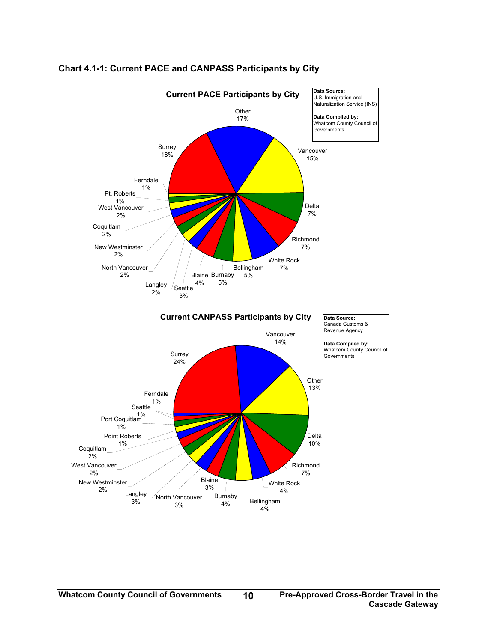

#### <span id="page-15-0"></span>**Chart 4.1-1: Current PACE and CANPASS Participants by City**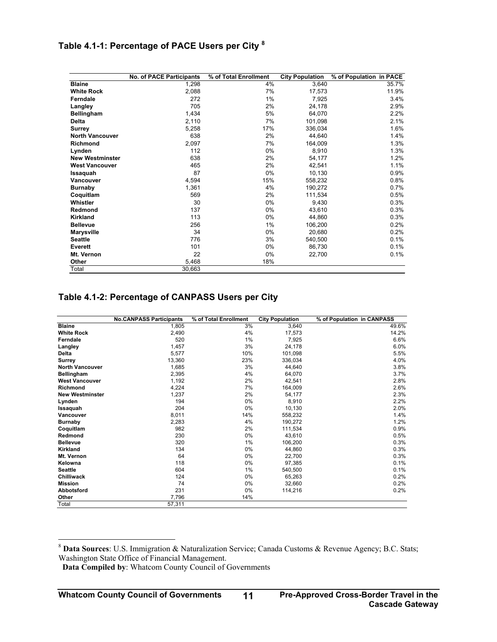### <span id="page-16-0"></span>**Table 4.1-1: Percentage of PACE Users per City [8](#page-16-1)**

|                        | <b>No. of PACE Participants</b> | % of Total Enrollment | <b>City Population</b> | % of Population in PACE |
|------------------------|---------------------------------|-----------------------|------------------------|-------------------------|
| <b>Blaine</b>          | 1,298                           | 4%                    | 3,640                  | 35.7%                   |
| <b>White Rock</b>      | 2,088                           | 7%                    | 17,573                 | 11.9%                   |
| Ferndale               | 272                             | $1\%$                 | 7,925                  | 3.4%                    |
| Langley                | 705                             | 2%                    | 24,178                 | 2.9%                    |
| <b>Bellingham</b>      | 1,434                           | 5%                    | 64,070                 | 2.2%                    |
| <b>Delta</b>           | 2,110                           | 7%                    | 101,098                | 2.1%                    |
| Surrey                 | 5,258                           | 17%                   | 336,034                | 1.6%                    |
| <b>North Vancouver</b> | 638                             | 2%                    | 44,640                 | 1.4%                    |
| <b>Richmond</b>        | 2,097                           | 7%                    | 164,009                | 1.3%                    |
| Lynden                 | 112                             | 0%                    | 8,910                  | 1.3%                    |
| <b>New Westminster</b> | 638                             | 2%                    | 54,177                 | 1.2%                    |
| <b>West Vancouver</b>  | 465                             | 2%                    | 42,541                 | 1.1%                    |
| Issaquah               | 87                              | 0%                    | 10,130                 | 0.9%                    |
| <b>Vancouver</b>       | 4,594                           | 15%                   | 558,232                | 0.8%                    |
| <b>Burnaby</b>         | 1,361                           | 4%                    | 190,272                | 0.7%                    |
| Coquitlam              | 569                             | 2%                    | 111,534                | 0.5%                    |
| Whistler               | 30                              | 0%                    | 9,430                  | 0.3%                    |
| Redmond                | 137                             | 0%                    | 43,610                 | 0.3%                    |
| <b>Kirkland</b>        | 113                             | 0%                    | 44,860                 | 0.3%                    |
| <b>Bellevue</b>        | 256                             | $1\%$                 | 106,200                | 0.2%                    |
| <b>Marysville</b>      | 34                              | 0%                    | 20,680                 | 0.2%                    |
| <b>Seattle</b>         | 776                             | 3%                    | 540,500                | 0.1%                    |
| Everett                | 101                             | 0%                    | 86,730                 | 0.1%                    |
| Mt. Vernon             | 22                              | 0%                    | 22,700                 | 0.1%                    |
| Other                  | 5,468                           | 18%                   |                        |                         |
| Total                  | 30,663                          |                       |                        |                         |

#### **Table 4.1-2: Percentage of CANPASS Users per City**

|                        | <b>No.CANPASS Participants</b> | % of Total Enrollment | <b>City Population</b> | % of Population in CANPASS |
|------------------------|--------------------------------|-----------------------|------------------------|----------------------------|
| <b>Blaine</b>          | 1,805                          | 3%                    | 3,640                  | 49.6%                      |
| <b>White Rock</b>      | 2,490                          | 4%                    | 17,573                 | 14.2%                      |
| Ferndale               | 520                            | 1%                    | 7.925                  | 6.6%                       |
| Langley                | 1,457                          | 3%                    | 24,178                 | 6.0%                       |
| <b>Delta</b>           | 5,577                          | 10%                   | 101,098                | 5.5%                       |
| <b>Surrey</b>          | 13,360                         | 23%                   | 336,034                | 4.0%                       |
| <b>North Vancouver</b> | 1,685                          | 3%                    | 44.640                 | 3.8%                       |
| <b>Bellingham</b>      | 2,395                          | 4%                    | 64.070                 | 3.7%                       |
| <b>West Vancouver</b>  | 1,192                          | 2%                    | 42,541                 | 2.8%                       |
| Richmond               | 4,224                          | 7%                    | 164,009                | 2.6%                       |
| <b>New Westminster</b> | 1,237                          | 2%                    | 54,177                 | 2.3%                       |
| Lynden                 | 194                            | 0%                    | 8,910                  | 2.2%                       |
| Issaquah               | 204                            | 0%                    | 10,130                 | 2.0%                       |
| <b>Vancouver</b>       | 8,011                          | 14%                   | 558,232                | 1.4%                       |
| <b>Burnaby</b>         | 2,283                          | 4%                    | 190.272                | 1.2%                       |
| Coquitlam              | 982                            | 2%                    | 111,534                | 0.9%                       |
| Redmond                | 230                            | 0%                    | 43.610                 | 0.5%                       |
| <b>Bellevue</b>        | 320                            | 1%                    | 106,200                | 0.3%                       |
| Kirkland               | 134                            | $0\%$                 | 44.860                 | 0.3%                       |
| Mt. Vernon             | 64                             | 0%                    | 22,700                 | 0.3%                       |
| Kelowna                | 118                            | 0%                    | 97.385                 | 0.1%                       |
| <b>Seattle</b>         | 604                            | 1%                    | 540,500                | 0.1%                       |
| Chilliwack             | 124                            | 0%                    | 65,263                 | 0.2%                       |
| <b>Mission</b>         | 74                             | 0%                    | 32,660                 | 0.2%                       |
| Abbotsford             | 231                            | 0%                    | 114,216                | 0.2%                       |
| Other                  | 7,796                          | 14%                   |                        |                            |
| Total                  | 57,311                         |                       |                        |                            |

 $\overline{a}$ 

<span id="page-16-1"></span><sup>8</sup> **Data Sources**: U.S. Immigration & Naturalization Service; Canada Customs & Revenue Agency; B.C. Stats; Washington State Office of Financial Management.

**Data Compiled by**: Whatcom County Council of Governments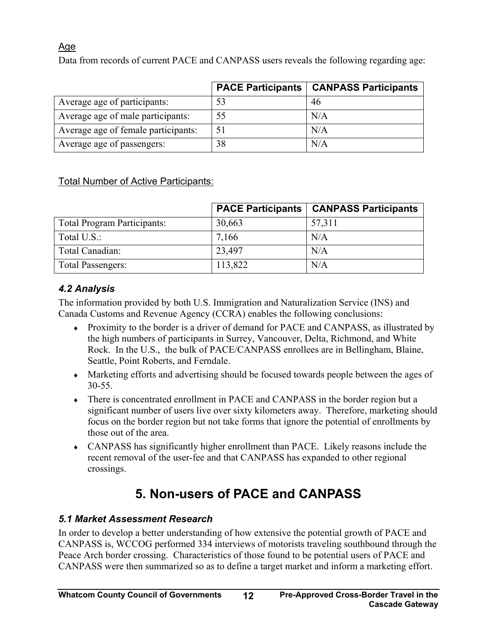### <span id="page-17-0"></span>Age

Data from records of current PACE and CANPASS users reveals the following regarding age:

|                                     |    | <b>PACE Participants   CANPASS Participants</b> |
|-------------------------------------|----|-------------------------------------------------|
| Average age of participants:        | 53 | 46                                              |
| Average age of male participants:   | 55 | N/A                                             |
| Average age of female participants: |    | N/A                                             |
| Average age of passengers:          | 38 | N/A                                             |

### Total Number of Active Participants:

|                             | <b>PACE Participants</b> | <b>CANPASS Participants</b> |
|-----------------------------|--------------------------|-----------------------------|
| Total Program Participants: | 30,663                   | 57,311                      |
| Total U.S.:                 | 7,166                    | N/A                         |
| Total Canadian:             | 23,497                   | N/A                         |
| Total Passengers:           | 113,822                  | N/A                         |

### *4.2 Analysis*

The information provided by both U.S. Immigration and Naturalization Service (INS) and Canada Customs and Revenue Agency (CCRA) enables the following conclusions:

- ♦ Proximity to the border is a driver of demand for PACE and CANPASS, as illustrated by the high numbers of participants in Surrey, Vancouver, Delta, Richmond, and White Rock. In the U.S., the bulk of PACE/CANPASS enrollees are in Bellingham, Blaine, Seattle, Point Roberts, and Ferndale.
- ♦ Marketing efforts and advertising should be focused towards people between the ages of 30-55.
- ♦ There is concentrated enrollment in PACE and CANPASS in the border region but a significant number of users live over sixty kilometers away. Therefore, marketing should focus on the border region but not take forms that ignore the potential of enrollments by those out of the area.
- ♦ CANPASS has significantly higher enrollment than PACE. Likely reasons include the recent removal of the user-fee and that CANPASS has expanded to other regional crossings.

# **5. Non-users of PACE and CANPASS**

### *5.1 Market Assessment Research*

In order to develop a better understanding of how extensive the potential growth of PACE and CANPASS is, WCCOG performed 334 interviews of motorists traveling southbound through the Peace Arch border crossing. Characteristics of those found to be potential users of PACE and CANPASS were then summarized so as to define a target market and inform a marketing effort.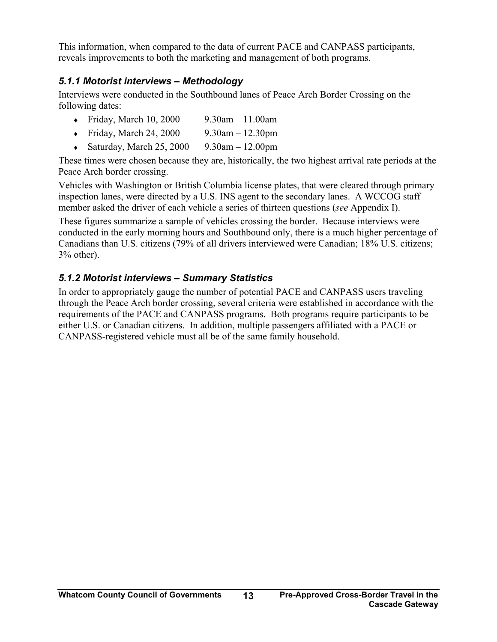<span id="page-18-0"></span>This information, when compared to the data of current PACE and CANPASS participants, reveals improvements to both the marketing and management of both programs.

### *5.1.1 Motorist interviews – Methodology*

Interviews were conducted in the Southbound lanes of Peace Arch Border Crossing on the following dates:

- Friday, March 10, 2000 9.30am 11.00am
- Friday, March 24, 2000 9.30am 12.30pm
- $\triangleleft$  Saturday, March 25, 2000 9.30am 12.00pm

These times were chosen because they are, historically, the two highest arrival rate periods at the Peace Arch border crossing.

Vehicles with Washington or British Columbia license plates, that were cleared through primary inspection lanes, were directed by a U.S. INS agent to the secondary lanes. A WCCOG staff member asked the driver of each vehicle a series of thirteen questions (*see* Appendix I).

These figures summarize a sample of vehicles crossing the border. Because interviews were conducted in the early morning hours and Southbound only, there is a much higher percentage of Canadians than U.S. citizens (79% of all drivers interviewed were Canadian; 18% U.S. citizens; 3% other).

### *5.1.2 Motorist interviews – Summary Statistics*

In order to appropriately gauge the number of potential PACE and CANPASS users traveling through the Peace Arch border crossing, several criteria were established in accordance with the requirements of the PACE and CANPASS programs. Both programs require participants to be either U.S. or Canadian citizens. In addition, multiple passengers affiliated with a PACE or CANPASS-registered vehicle must all be of the same family household.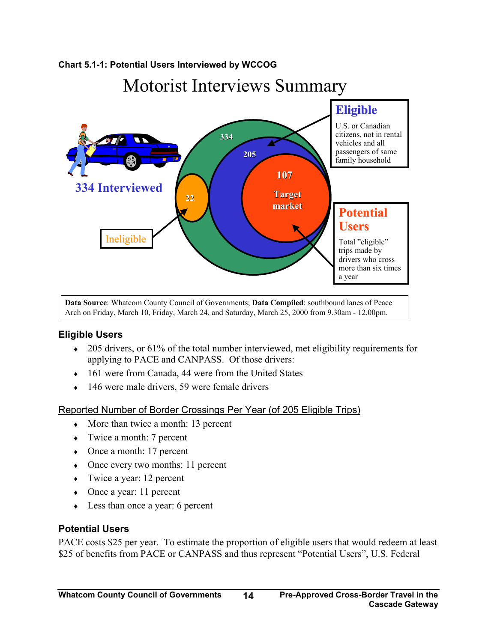#### <span id="page-19-0"></span>**Chart 5.1-1: Potential Users Interviewed by WCCOG**

# Motorist Interviews Summary



**Data Source**: Whatcom County Council of Governments; **Data Compiled**: southbound lanes of Peace Arch on Friday, March 10, Friday, March 24, and Saturday, March 25, 2000 from 9.30am - 12.00pm.

#### **Eligible Users**

- $\bullet$  205 drivers, or 61% of the total number interviewed, met eligibility requirements for applying to PACE and CANPASS. Of those drivers:
- 161 were from Canada, 44 were from the United States
- $\cdot$  146 were male drivers, 59 were female drivers

#### Reported Number of Border Crossings Per Year (of 205 Eligible Trips)

- ♦ More than twice a month: 13 percent
- ♦ Twice a month: 7 percent
- $\bullet$  Once a month: 17 percent
- Once every two months: 11 percent
- $\bullet$  Twice a year: 12 percent
- Once a year: 11 percent
- ♦ Less than once a year: 6 percent

#### **Potential Users**

PACE costs \$25 per year. To estimate the proportion of eligible users that would redeem at least \$25 of benefits from PACE or CANPASS and thus represent "Potential Users", U.S. Federal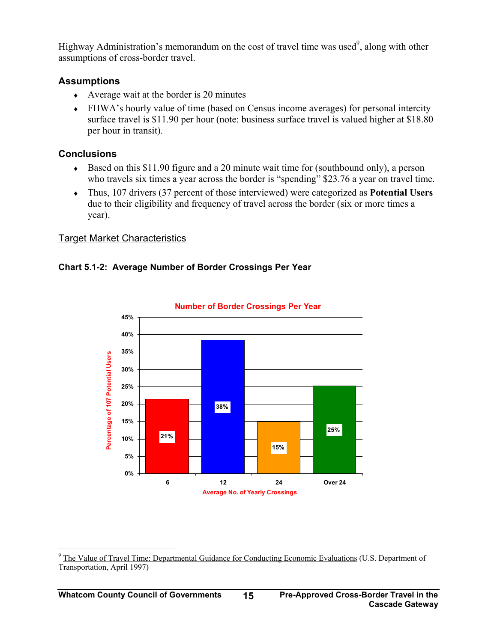<span id="page-20-0"></span>Highway Administration's memorandum on the cost of travel time was used<sup>[9](#page-20-1)</sup>, along with other assumptions of cross-border travel.

### **Assumptions**

- $\triangleleft$  Average wait at the border is 20 minutes
- ♦ FHWA's hourly value of time (based on Census income averages) for personal intercity surface travel is \$11.90 per hour (note: business surface travel is valued higher at \$18.80 per hour in transit).

### **Conclusions**

- ♦ Based on this \$11.90 figure and a 20 minute wait time for (southbound only), a person who travels six times a year across the border is "spending" \$23.76 a year on travel time.
- ♦ Thus, 107 drivers (37 percent of those interviewed) were categorized as **Potential Users** due to their eligibility and frequency of travel across the border (six or more times a year).

### Target Market Characteristics





**Number of Border Crossings Per Year**

<span id="page-20-1"></span><sup>&</sup>lt;sup>9</sup> The Value of Travel Time: Departmental Guidance for Conducting Economic Evaluations (U.S. Department of Transportation, April 1997)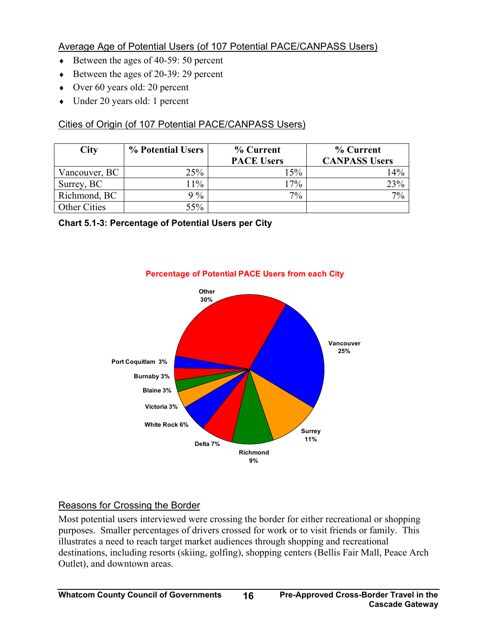### <span id="page-21-0"></span>Average Age of Potential Users (of 107 Potential PACE/CANPASS Users)

- ♦ Between the ages of 40-59: 50 percent
- ♦ Between the ages of 20-39: 29 percent
- Over 60 years old: 20 percent
- ♦ Under 20 years old: 1 percent

### Cities of Origin (of 107 Potential PACE/CANPASS Users)

| <b>City</b>   | % Potential Users | % Current         | % Current            |
|---------------|-------------------|-------------------|----------------------|
|               |                   | <b>PACE Users</b> | <b>CANPASS Users</b> |
| Vancouver, BC | 25%               | 15%               | 14%                  |
| Surrey, BC    | 11%               | 17%               | 23%                  |
| Richmond, BC  | $\frac{0}{0}$     | $7\%$             | 7%                   |
| Other Cities  | 55%               |                   |                      |

#### **Chart 5.1-3: Percentage of Potential Users per City**



### **Percentage of Potential PACE Users from each City**

### Reasons for Crossing the Border

Most potential users interviewed were crossing the border for either recreational or shopping purposes. Smaller percentages of drivers crossed for work or to visit friends or family. This illustrates a need to reach target market audiences through shopping and recreational destinations, including resorts (skiing, golfing), shopping centers (Bellis Fair Mall, Peace Arch Outlet), and downtown areas.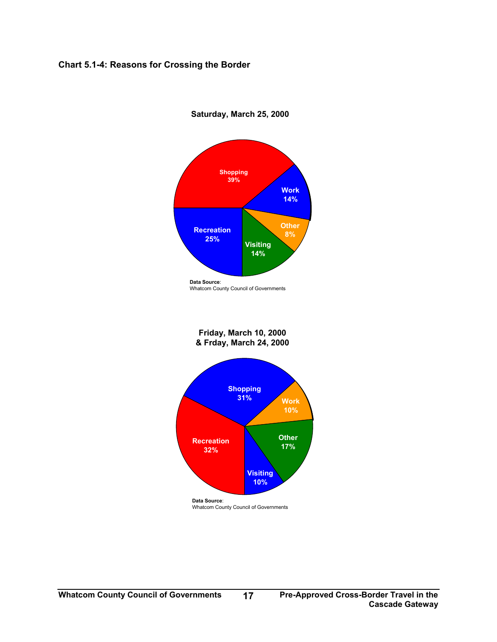#### <span id="page-22-0"></span>**Chart 5.1-4: Reasons for Crossing the Border**



**Saturday, March 25, 2000**

Whatcom County Council of Governments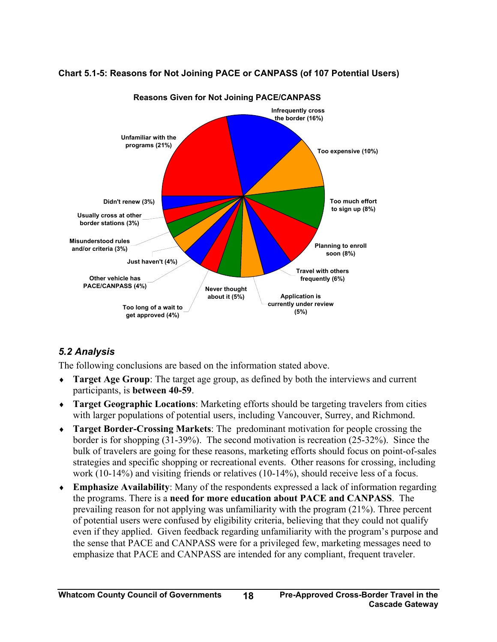

#### <span id="page-23-0"></span>**Chart 5.1-5: Reasons for Not Joining PACE or CANPASS (of 107 Potential Users)**

### *5.2 Analysis*

The following conclusions are based on the information stated above.

- ♦ **Target Age Group**: The target age group, as defined by both the interviews and current participants, is **between 40-59**.
- ♦ **Target Geographic Locations**: Marketing efforts should be targeting travelers from cities with larger populations of potential users, including Vancouver, Surrey, and Richmond.
- ♦ **Target Border-Crossing Markets**: The predominant motivation for people crossing the border is for shopping (31-39%). The second motivation is recreation (25-32%). Since the bulk of travelers are going for these reasons, marketing efforts should focus on point-of-sales strategies and specific shopping or recreational events. Other reasons for crossing, including work (10-14%) and visiting friends or relatives (10-14%), should receive less of a focus.
- ♦ **Emphasize Availability**: Many of the respondents expressed a lack of information regarding the programs. There is a **need for more education about PACE and CANPASS**. The prevailing reason for not applying was unfamiliarity with the program (21%). Three percent of potential users were confused by eligibility criteria, believing that they could not qualify even if they applied. Given feedback regarding unfamiliarity with the program's purpose and the sense that PACE and CANPASS were for a privileged few, marketing messages need to emphasize that PACE and CANPASS are intended for any compliant, frequent traveler.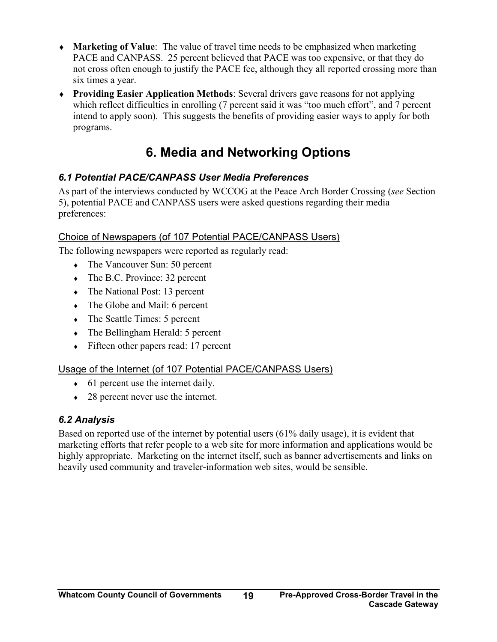- <span id="page-24-0"></span>♦ **Marketing of Value**: The value of travel time needs to be emphasized when marketing PACE and CANPASS. 25 percent believed that PACE was too expensive, or that they do not cross often enough to justify the PACE fee, although they all reported crossing more than six times a year.
- ♦ **Providing Easier Application Methods**: Several drivers gave reasons for not applying which reflect difficulties in enrolling (7 percent said it was "too much effort", and 7 percent intend to apply soon). This suggests the benefits of providing easier ways to apply for both programs.

# **6. Media and Networking Options**

### *6.1 Potential PACE/CANPASS User Media Preferences*

As part of the interviews conducted by WCCOG at the Peace Arch Border Crossing (*see* Section 5), potential PACE and CANPASS users were asked questions regarding their media preferences:

### Choice of Newspapers (of 107 Potential PACE/CANPASS Users)

The following newspapers were reported as regularly read:

- The Vancouver Sun: 50 percent
- $\bullet$  The B.C. Province: 32 percent
- $\bullet$  The National Post: 13 percent
- The Globe and Mail: 6 percent
- $\bullet$  The Seattle Times: 5 percent
- $\bullet$  The Bellingham Herald: 5 percent
- $\leftarrow$  Fifteen other papers read: 17 percent

### Usage of the Internet (of 107 Potential PACE/CANPASS Users)

- $\bullet$  61 percent use the internet daily.
- 28 percent never use the internet.

### *6.2 Analysis*

Based on reported use of the internet by potential users (61% daily usage), it is evident that marketing efforts that refer people to a web site for more information and applications would be highly appropriate. Marketing on the internet itself, such as banner advertisements and links on heavily used community and traveler-information web sites, would be sensible.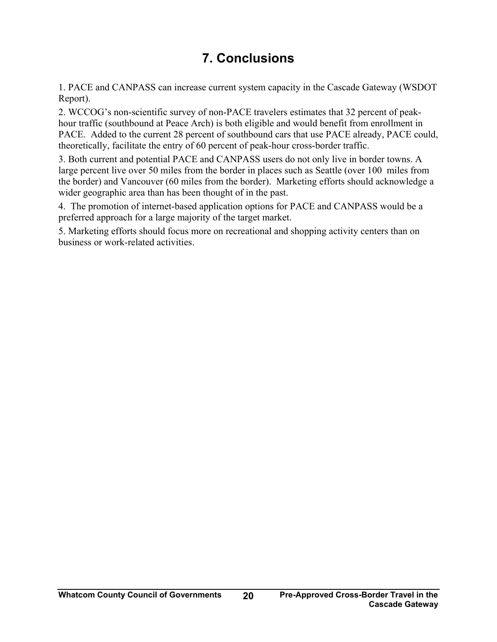# **7. Conclusions**

<span id="page-25-0"></span>1. PACE and CANPASS can increase current system capacity in the Cascade Gateway (WSDOT Report).

2. WCCOG's non-scientific survey of non-PACE travelers estimates that 32 percent of peakhour traffic (southbound at Peace Arch) is both eligible and would benefit from enrollment in PACE. Added to the current 28 percent of southbound cars that use PACE already, PACE could, theoretically, facilitate the entry of 60 percent of peak-hour cross-border traffic.

3. Both current and potential PACE and CANPASS users do not only live in border towns. A large percent live over 50 miles from the border in places such as Seattle (over 100 miles from the border) and Vancouver (60 miles from the border). Marketing efforts should acknowledge a wider geographic area than has been thought of in the past.

4. The promotion of internet-based application options for PACE and CANPASS would be a preferred approach for a large majority of the target market.

5. Marketing efforts should focus more on recreational and shopping activity centers than on business or work-related activities.